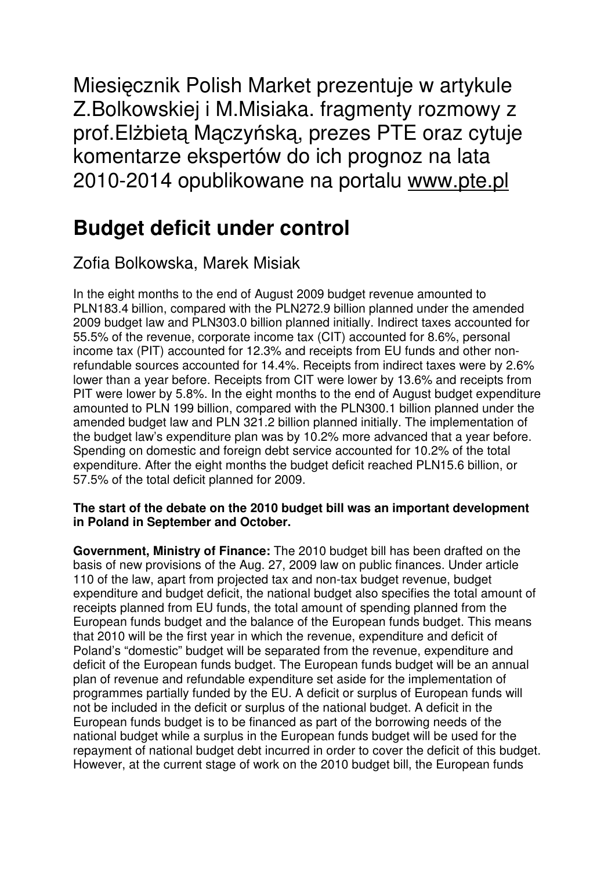Miesięcznik Polish Market prezentuje w artykule Z.Bolkowskiej i M.Misiaka. fragmenty rozmowy z prof.Elżbietą Mączyńską, prezes PTE oraz cytuje komentarze ekspertów do ich prognoz na lata 2010-2014 opublikowane na portalu www.pte.pl

# **Budget deficit under control**

# Zofia Bolkowska, Marek Misiak

In the eight months to the end of August 2009 budget revenue amounted to PLN183.4 billion, compared with the PLN272.9 billion planned under the amended 2009 budget law and PLN303.0 billion planned initially. Indirect taxes accounted for 55.5% of the revenue, corporate income tax (CIT) accounted for 8.6%, personal income tax (PIT) accounted for 12.3% and receipts from EU funds and other nonrefundable sources accounted for 14.4%. Receipts from indirect taxes were by 2.6% lower than a year before. Receipts from CIT were lower by 13.6% and receipts from PIT were lower by 5.8%. In the eight months to the end of August budget expenditure amounted to PLN 199 billion, compared with the PLN300.1 billion planned under the amended budget law and PLN 321.2 billion planned initially. The implementation of the budget law's expenditure plan was by 10.2% more advanced that a year before. Spending on domestic and foreign debt service accounted for 10.2% of the total expenditure. After the eight months the budget deficit reached PLN15.6 billion, or 57.5% of the total deficit planned for 2009.

## **The start of the debate on the 2010 budget bill was an important development in Poland in September and October.**

**Government, Ministry of Finance:** The 2010 budget bill has been drafted on the basis of new provisions of the Aug. 27, 2009 law on public finances. Under article 110 of the law, apart from projected tax and non-tax budget revenue, budget expenditure and budget deficit, the national budget also specifies the total amount of receipts planned from EU funds, the total amount of spending planned from the European funds budget and the balance of the European funds budget. This means that 2010 will be the first year in which the revenue, expenditure and deficit of Poland's "domestic" budget will be separated from the revenue, expenditure and deficit of the European funds budget. The European funds budget will be an annual plan of revenue and refundable expenditure set aside for the implementation of programmes partially funded by the EU. A deficit or surplus of European funds will not be included in the deficit or surplus of the national budget. A deficit in the European funds budget is to be financed as part of the borrowing needs of the national budget while a surplus in the European funds budget will be used for the repayment of national budget debt incurred in order to cover the deficit of this budget. However, at the current stage of work on the 2010 budget bill, the European funds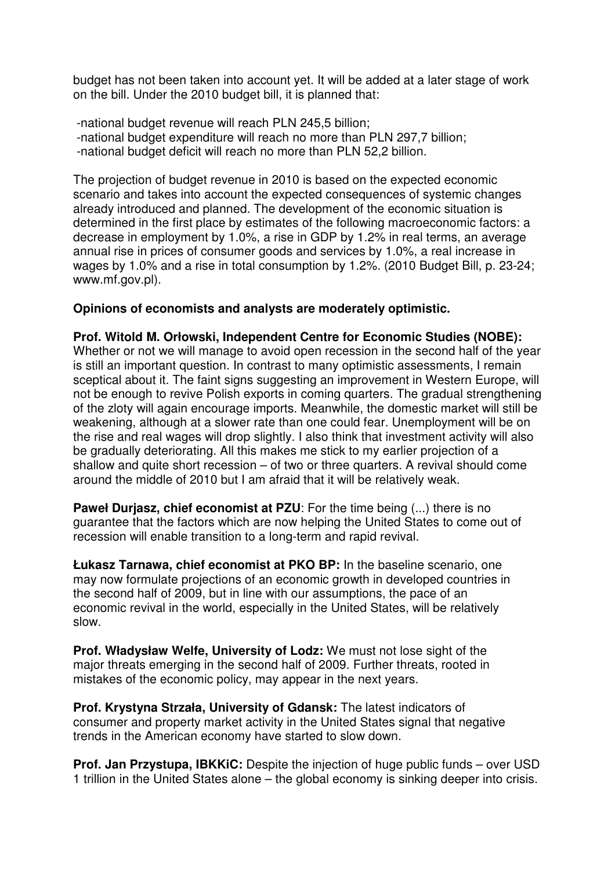budget has not been taken into account yet. It will be added at a later stage of work on the bill. Under the 2010 budget bill, it is planned that:

 -national budget revenue will reach PLN 245,5 billion; -national budget expenditure will reach no more than PLN 297,7 billion; -national budget deficit will reach no more than PLN 52,2 billion.

The projection of budget revenue in 2010 is based on the expected economic scenario and takes into account the expected consequences of systemic changes already introduced and planned. The development of the economic situation is determined in the first place by estimates of the following macroeconomic factors: a decrease in employment by 1.0%, a rise in GDP by 1.2% in real terms, an average annual rise in prices of consumer goods and services by 1.0%, a real increase in wages by 1.0% and a rise in total consumption by 1.2%. (2010 Budget Bill, p. 23-24; www.mf.gov.pl).

#### **Opinions of economists and analysts are moderately optimistic.**

**Prof. Witold M. Orłowski, Independent Centre for Economic Studies (NOBE):**  Whether or not we will manage to avoid open recession in the second half of the year is still an important question. In contrast to many optimistic assessments, I remain sceptical about it. The faint signs suggesting an improvement in Western Europe, will not be enough to revive Polish exports in coming quarters. The gradual strengthening of the zloty will again encourage imports. Meanwhile, the domestic market will still be weakening, although at a slower rate than one could fear. Unemployment will be on the rise and real wages will drop slightly. I also think that investment activity will also be gradually deteriorating. All this makes me stick to my earlier projection of a shallow and quite short recession – of two or three quarters. A revival should come around the middle of 2010 but I am afraid that it will be relatively weak.

**Paweł Duriasz, chief economist at PZU**: For the time being (...) there is no guarantee that the factors which are now helping the United States to come out of recession will enable transition to a long-term and rapid revival.

**Łukasz Tarnawa, chief economist at PKO BP:** In the baseline scenario, one may now formulate projections of an economic growth in developed countries in the second half of 2009, but in line with our assumptions, the pace of an economic revival in the world, especially in the United States, will be relatively slow.

**Prof. Władysław Welfe, University of Lodz:** We must not lose sight of the major threats emerging in the second half of 2009. Further threats, rooted in mistakes of the economic policy, may appear in the next years.

**Prof. Krystyna Strzała, University of Gdansk:** The latest indicators of consumer and property market activity in the United States signal that negative trends in the American economy have started to slow down.

**Prof. Jan Przystupa, IBKKiC:** Despite the injection of huge public funds – over USD 1 trillion in the United States alone – the global economy is sinking deeper into crisis.